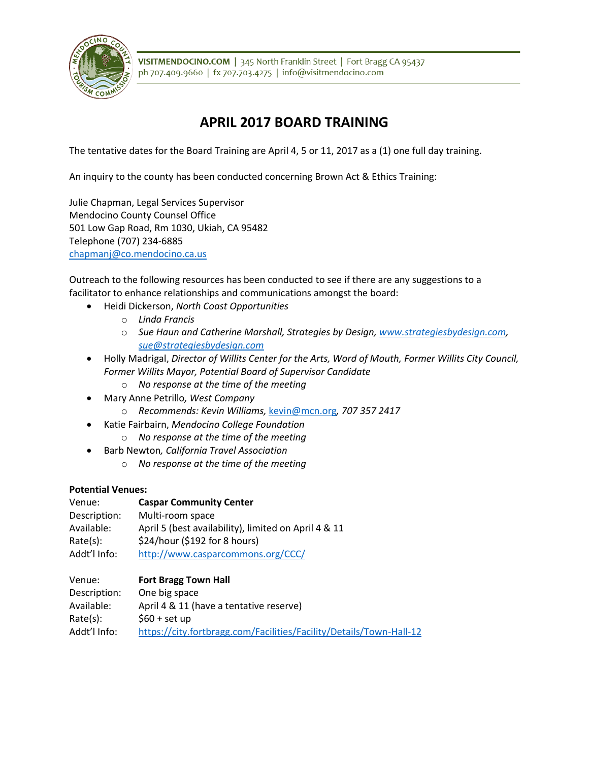

VISITMENDOCINO.COM | 345 North Franklin Street | Fort Bragg CA 95437 ph 707.409.9660 | fx 707.703.4275 | info@visitmendocino.com

## **APRIL 2017 BOARD TRAINING**

The tentative dates for the Board Training are April 4, 5 or 11, 2017 as a (1) one full day training.

An inquiry to the county has been conducted concerning Brown Act & Ethics Training:

Julie Chapman, Legal Services Supervisor Mendocino County Counsel Office 501 Low Gap Road, Rm 1030, Ukiah, CA 95482 Telephone (707) 234-6885 [chapmanj@co.mendocino.ca.us](mailto:chapmanj@co.mendocino.ca.us)

Outreach to the following resources has been conducted to see if there are any suggestions to a facilitator to enhance relationships and communications amongst the board:

- Heidi Dickerson, *North Coast Opportunities*
	- o *Linda Francis*
	- o *Sue Haun and Catherine Marshall, Strategies by Design, [www.strategiesbydesign.com,](http://www.strategiesbydesign.com/) [sue@strategiesbydesign.com](mailto:sue@strategiesbydesign.com)*
- Holly Madrigal, *Director of Willits Center for the Arts, Word of Mouth, Former Willits City Council, Former Willits Mayor, Potential Board of Supervisor Candidate*
	- o *No response at the time of the meeting*
- Mary Anne Petrillo*, West Company*
	- o *Recommends: Kevin Williams,* [kevin@mcn.org](mailto:kevin@mcn.org)*, 707 357 2417*
- Katie Fairbairn, *Mendocino College Foundation*
	- o *No response at the time of the meeting*
- Barb Newton*, California Travel Association*
	- o *No response at the time of the meeting*

## **Potential Venues:**

| Venue:       | <b>Caspar Community Center</b>                       |
|--------------|------------------------------------------------------|
| Description: | Multi-room space                                     |
| Available:   | April 5 (best availability), limited on April 4 & 11 |
| Rate(s):     | \$24/hour (\$192 for 8 hours)                        |
| Addt'l Info: | http://www.casparcommons.org/CCC/                    |

| Venue:       | <b>Fort Bragg Town Hall</b>                                         |
|--------------|---------------------------------------------------------------------|
| Description: | One big space                                                       |
| Available:   | April 4 & 11 (have a tentative reserve)                             |
| Rate(s):     | $$60 + set up$                                                      |
| Addt'l Info: | https://city.fortbragg.com/Facilities/Facility/Details/Town-Hall-12 |